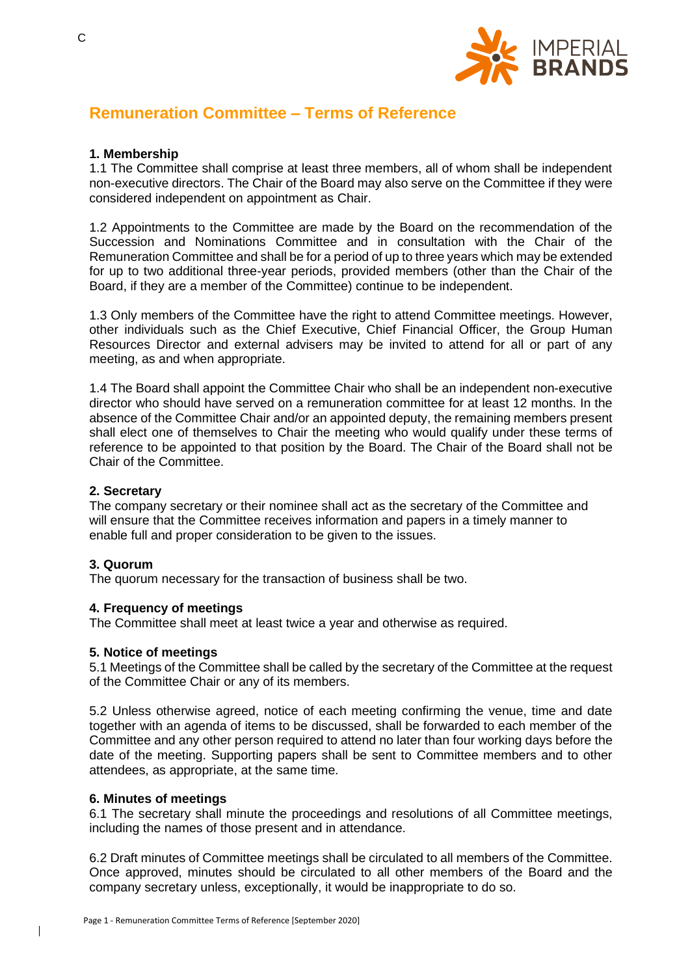

# **Remuneration Committee – Terms of Reference**

# **1. Membership**

1.1 The Committee shall comprise at least three members, all of whom shall be independent non-executive directors. The Chair of the Board may also serve on the Committee if they were considered independent on appointment as Chair.

1.2 Appointments to the Committee are made by the Board on the recommendation of the Succession and Nominations Committee and in consultation with the Chair of the Remuneration Committee and shall be for a period of up to three years which may be extended for up to two additional three-year periods, provided members (other than the Chair of the Board, if they are a member of the Committee) continue to be independent.

1.3 Only members of the Committee have the right to attend Committee meetings. However, other individuals such as the Chief Executive, Chief Financial Officer, the Group Human Resources Director and external advisers may be invited to attend for all or part of any meeting, as and when appropriate.

1.4 The Board shall appoint the Committee Chair who shall be an independent non-executive director who should have served on a remuneration committee for at least 12 months. In the absence of the Committee Chair and/or an appointed deputy, the remaining members present shall elect one of themselves to Chair the meeting who would qualify under these terms of reference to be appointed to that position by the Board. The Chair of the Board shall not be Chair of the Committee.

# **2. Secretary**

The company secretary or their nominee shall act as the secretary of the Committee and will ensure that the Committee receives information and papers in a timely manner to enable full and proper consideration to be given to the issues.

## **3. Quorum**

The quorum necessary for the transaction of business shall be two.

## **4. Frequency of meetings**

The Committee shall meet at least twice a year and otherwise as required.

## **5. Notice of meetings**

5.1 Meetings of the Committee shall be called by the secretary of the Committee at the request of the Committee Chair or any of its members.

5.2 Unless otherwise agreed, notice of each meeting confirming the venue, time and date together with an agenda of items to be discussed, shall be forwarded to each member of the Committee and any other person required to attend no later than four working days before the date of the meeting. Supporting papers shall be sent to Committee members and to other attendees, as appropriate, at the same time.

#### **6. Minutes of meetings**

6.1 The secretary shall minute the proceedings and resolutions of all Committee meetings, including the names of those present and in attendance.

6.2 Draft minutes of Committee meetings shall be circulated to all members of the Committee. Once approved, minutes should be circulated to all other members of the Board and the company secretary unless, exceptionally, it would be inappropriate to do so.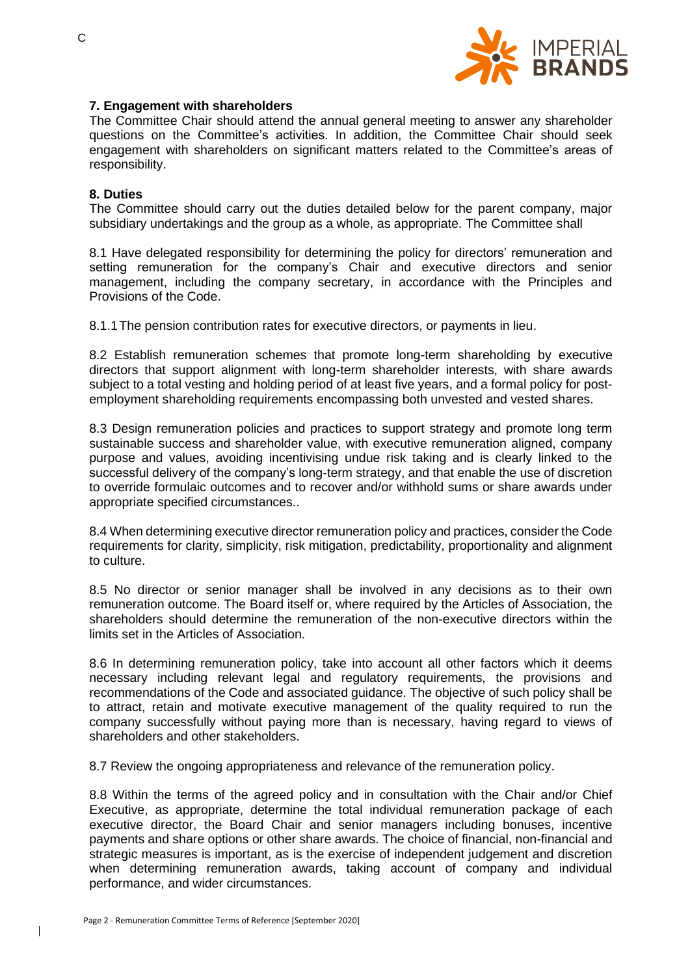

## **7. Engagement with shareholders**

The Committee Chair should attend the annual general meeting to answer any shareholder questions on the Committee's activities. In addition, the Committee Chair should seek engagement with shareholders on significant matters related to the Committee's areas of responsibility.

## **8. Duties**

The Committee should carry out the duties detailed below for the parent company, major subsidiary undertakings and the group as a whole, as appropriate. The Committee shall

8.1 Have delegated responsibility for determining the policy for directors' remuneration and setting remuneration for the company's Chair and executive directors and senior management, including the company secretary, in accordance with the Principles and Provisions of the Code.

8.1.1The pension contribution rates for executive directors, or payments in lieu.

8.2 Establish remuneration schemes that promote long-term shareholding by executive directors that support alignment with long-term shareholder interests, with share awards subject to a total vesting and holding period of at least five years, and a formal policy for postemployment shareholding requirements encompassing both unvested and vested shares.

8.3 Design remuneration policies and practices to support strategy and promote long term sustainable success and shareholder value, with executive remuneration aligned, company purpose and values, avoiding incentivising undue risk taking and is clearly linked to the successful delivery of the company's long-term strategy, and that enable the use of discretion to override formulaic outcomes and to recover and/or withhold sums or share awards under appropriate specified circumstances..

8.4 When determining executive director remuneration policy and practices, consider the Code requirements for clarity, simplicity, risk mitigation, predictability, proportionality and alignment to culture.

8.5 No director or senior manager shall be involved in any decisions as to their own remuneration outcome. The Board itself or, where required by the Articles of Association, the shareholders should determine the remuneration of the non-executive directors within the limits set in the Articles of Association.

8.6 In determining remuneration policy, take into account all other factors which it deems necessary including relevant legal and regulatory requirements, the provisions and recommendations of the Code and associated guidance. The objective of such policy shall be to attract, retain and motivate executive management of the quality required to run the company successfully without paying more than is necessary, having regard to views of shareholders and other stakeholders.

8.7 Review the ongoing appropriateness and relevance of the remuneration policy.

8.8 Within the terms of the agreed policy and in consultation with the Chair and/or Chief Executive, as appropriate, determine the total individual remuneration package of each executive director, the Board Chair and senior managers including bonuses, incentive payments and share options or other share awards. The choice of financial, non-financial and strategic measures is important, as is the exercise of independent judgement and discretion when determining remuneration awards, taking account of company and individual performance, and wider circumstances.

 $\overline{\phantom{a}}$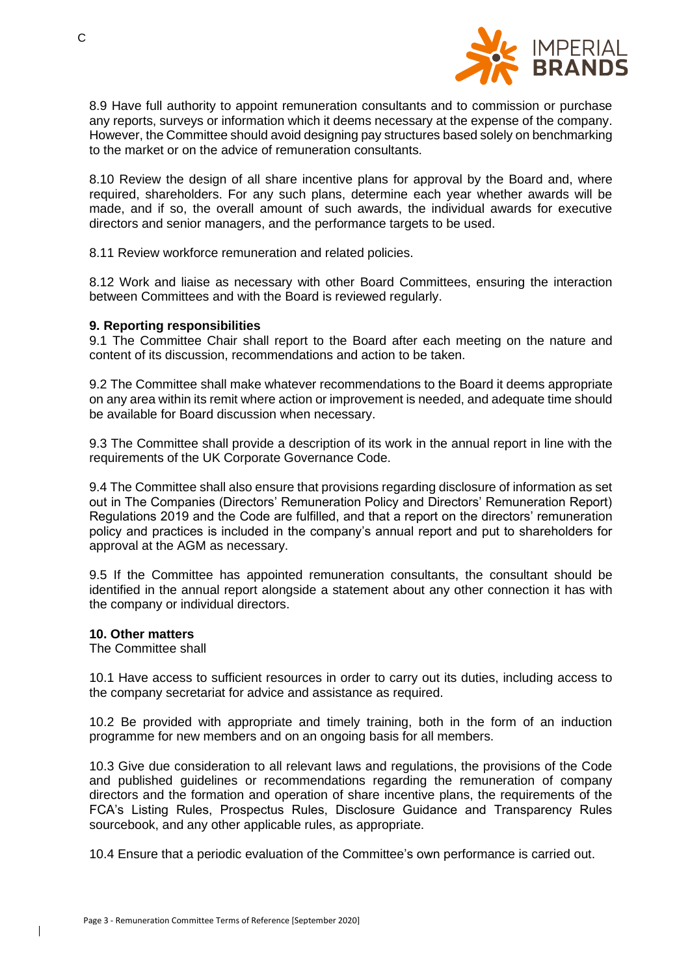

8.9 Have full authority to appoint remuneration consultants and to commission or purchase any reports, surveys or information which it deems necessary at the expense of the company. However, the Committee should avoid designing pay structures based solely on benchmarking to the market or on the advice of remuneration consultants.

8.10 Review the design of all share incentive plans for approval by the Board and, where required, shareholders. For any such plans, determine each year whether awards will be made, and if so, the overall amount of such awards, the individual awards for executive directors and senior managers, and the performance targets to be used.

8.11 Review workforce remuneration and related policies.

8.12 Work and liaise as necessary with other Board Committees, ensuring the interaction between Committees and with the Board is reviewed regularly.

## **9. Reporting responsibilities**

9.1 The Committee Chair shall report to the Board after each meeting on the nature and content of its discussion, recommendations and action to be taken.

9.2 The Committee shall make whatever recommendations to the Board it deems appropriate on any area within its remit where action or improvement is needed, and adequate time should be available for Board discussion when necessary.

9.3 The Committee shall provide a description of its work in the annual report in line with the requirements of the UK Corporate Governance Code.

9.4 The Committee shall also ensure that provisions regarding disclosure of information as set out in The Companies (Directors' Remuneration Policy and Directors' Remuneration Report) Regulations 2019 and the Code are fulfilled, and that a report on the directors' remuneration policy and practices is included in the company's annual report and put to shareholders for approval at the AGM as necessary.

9.5 If the Committee has appointed remuneration consultants, the consultant should be identified in the annual report alongside a statement about any other connection it has with the company or individual directors.

#### **10. Other matters**

The Committee shall

10.1 Have access to sufficient resources in order to carry out its duties, including access to the company secretariat for advice and assistance as required.

10.2 Be provided with appropriate and timely training, both in the form of an induction programme for new members and on an ongoing basis for all members.

10.3 Give due consideration to all relevant laws and regulations, the provisions of the Code and published guidelines or recommendations regarding the remuneration of company directors and the formation and operation of share incentive plans, the requirements of the FCA's Listing Rules, Prospectus Rules, Disclosure Guidance and Transparency Rules sourcebook, and any other applicable rules, as appropriate.

10.4 Ensure that a periodic evaluation of the Committee's own performance is carried out.